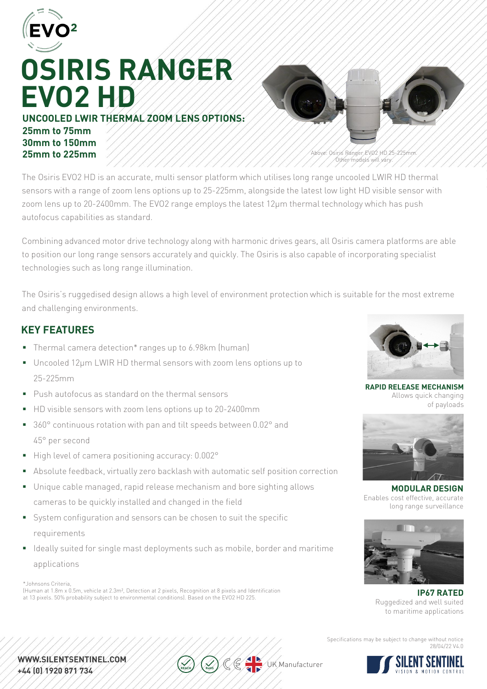

# **OSIRIS RANGER EVO2 HD**

**UNCOOLED LWIR THERMAL ZOOM LENS OPTIONS: 25mm to 75mm 30mm to 150mm 25mm to 225mm**



Above: Osiris Ranger EVO2 HD 25-225mm. Other models will vary.

The Osiris EVO2 HD is an accurate, multi sensor platform which utilises long range uncooled LWIR HD thermal sensors with a range of zoom lens options up to 25-225mm, alongside the latest low light HD visible sensor with zoom lens up to 20-2400mm. The EVO2 range employs the latest 12μm thermal technology which has push autofocus capabilities as standard.

Combining advanced motor drive technology along with harmonic drives gears, all Osiris camera platforms are able to position our long range sensors accurately and quickly. The Osiris is also capable of incorporating specialist technologies such as long range illumination.

The Osiris's ruggedised design allows a high level of environment protection which is suitable for the most extreme and challenging environments.

### **KEY FEATURES**

- Thermal camera detection\* ranges up to 6.98km (human)
- Uncooled 12µm LWIR HD thermal sensors with zoom lens options up to 25-225mm
- **Push autofocus as standard on the thermal sensors**
- HD visible sensors with zoom lens options up to 20-2400mm
- 360° continuous rotation with pan and tilt speeds between 0.02° and 45° per second
- High level of camera positioning accuracy: 0.002°
- Absolute feedback, virtually zero backlash with automatic self position correction
- Unique cable managed, rapid release mechanism and bore sighting allows cameras to be quickly installed and changed in the field
- System configuration and sensors can be chosen to suit the specific requirements
- I Ideally suited for single mast deployments such as mobile, border and maritime applications

\*Johnsons Criteria,

(Human at 1.8m x 0.5m, vehicle at 2.3m², Detection at 2 pixels, Recognition at 8 pixels and Identification at 13 pixels. 50% probability subject to environmental conditions). Based on the EVO2 HD 225.



**RAPID RELEASE MECHANISM** Allows quick changing of payloads



**MODULAR DESIGN** Enables cost effective, accurate long range surveillance



**IP67 RATED** Ruggedized and well suited to maritime applications

Specifications may be subject to change without notice 28/04/22 V4.0



WWW.SILENTSENTINEL.COM. +44 (0) 1920 871 734